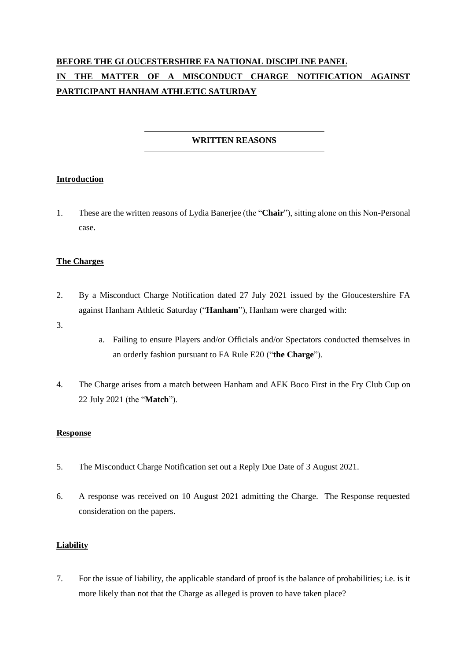# **BEFORE THE GLOUCESTERSHIRE FA NATIONAL DISCIPLINE PANEL IN THE MATTER OF A MISCONDUCT CHARGE NOTIFICATION AGAINST PARTICIPANT HANHAM ATHLETIC SATURDAY**

## **WRITTEN REASONS**

#### **Introduction**

1. These are the written reasons of Lydia Banerjee (the "**Chair**"), sitting alone on this Non-Personal case.

#### **The Charges**

- 2. By a Misconduct Charge Notification dated 27 July 2021 issued by the Gloucestershire FA against Hanham Athletic Saturday ("**Hanham**"), Hanham were charged with:
- 3.
- a. Failing to ensure Players and/or Officials and/or Spectators conducted themselves in an orderly fashion pursuant to FA Rule E20 ("**the Charge**").
- 4. The Charge arises from a match between Hanham and AEK Boco First in the Fry Club Cup on 22 July 2021 (the "**Match**").

### **Response**

- 5. The Misconduct Charge Notification set out a Reply Due Date of 3 August 2021.
- 6. A response was received on 10 August 2021 admitting the Charge. The Response requested consideration on the papers.

#### **Liability**

7. For the issue of liability, the applicable standard of proof is the balance of probabilities; i.e. is it more likely than not that the Charge as alleged is proven to have taken place?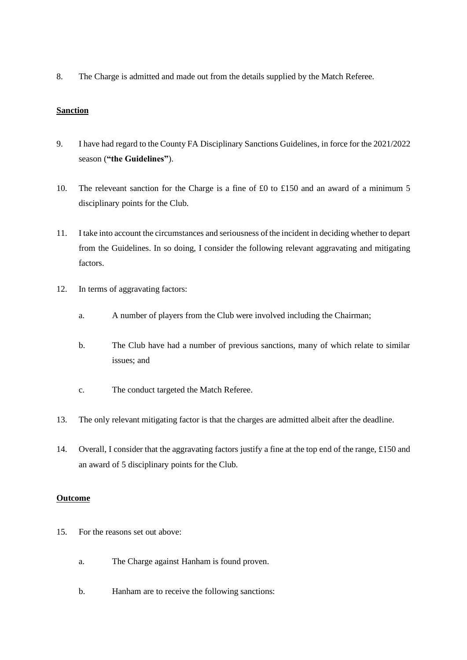8. The Charge is admitted and made out from the details supplied by the Match Referee.

### **Sanction**

- 9. I have had regard to the County FA Disciplinary Sanctions Guidelines, in force for the 2021/2022 season (**"the Guidelines"**).
- 10. The releveant sanction for the Charge is a fine of £0 to £150 and an award of a minimum 5 disciplinary points for the Club.
- 11. I take into account the circumstances and seriousness of the incident in deciding whether to depart from the Guidelines. In so doing, I consider the following relevant aggravating and mitigating factors.
- 12. In terms of aggravating factors:
	- a. A number of players from the Club were involved including the Chairman;
	- b. The Club have had a number of previous sanctions, many of which relate to similar issues; and
	- c. The conduct targeted the Match Referee.
- 13. The only relevant mitigating factor is that the charges are admitted albeit after the deadline.
- 14. Overall, I consider that the aggravating factors justify a fine at the top end of the range, £150 and an award of 5 disciplinary points for the Club.

#### **Outcome**

- 15. For the reasons set out above:
	- a. The Charge against Hanham is found proven.
	- b. Hanham are to receive the following sanctions: